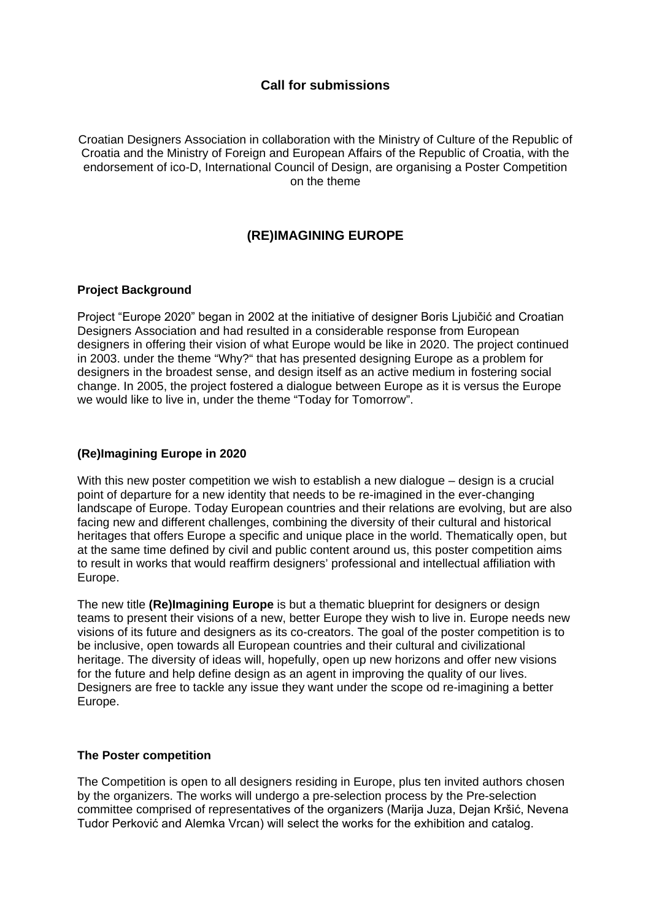# **Call for submissions**

Croatian Designers Association in collaboration with the Ministry of Culture of the Republic of Croatia and the Ministry of Foreign and European Affairs of the Republic of Croatia, with the endorsement of ico-D, International Council of Design, are organising a Poster Competition on the theme

# **(RE)IMAGINING EUROPE**

## **Project Background**

Project "Europe 2020" began in 2002 at the initiative of designer Boris Ljubičić and Croatian Designers Association and had resulted in a considerable response from European designers in offering their vision of what Europe would be like in 2020. The project continued in 2003. under the theme "Why?" that has presented designing Europe as a problem for designers in the broadest sense, and design itself as an active medium in fostering social change. In 2005, the project fostered a dialogue between Europe as it is versus the Europe we would like to live in, under the theme "Today for Tomorrow".

### **(Re)Imagining Europe in 2020**

With this new poster competition we wish to establish a new dialogue – design is a crucial point of departure for a new identity that needs to be re-imagined in the ever-changing landscape of Europe. Today European countries and their relations are evolving, but are also facing new and different challenges, combining the diversity of their cultural and historical heritages that offers Europe a specific and unique place in the world. Thematically open, but at the same time defined by civil and public content around us, this poster competition aims to result in works that would reaffirm designers' professional and intellectual affiliation with Europe.

The new title **(Re)Imagining Europe** is but a thematic blueprint for designers or design teams to present their visions of a new, better Europe they wish to live in. Europe needs new visions of its future and designers as its co-creators. The goal of the poster competition is to be inclusive, open towards all European countries and their cultural and civilizational heritage. The diversity of ideas will, hopefully, open up new horizons and offer new visions for the future and help define design as an agent in improving the quality of our lives. Designers are free to tackle any issue they want under the scope od re-imagining a better Europe.

### **The Poster competition**

The Competition is open to all designers residing in Europe, plus ten invited authors chosen by the organizers. The works will undergo a pre-selection process by the Pre-selection committee comprised of representatives of the organizers (Marija Juza, Dejan Kršić, Nevena Tudor Perković and Alemka Vrcan) will select the works for the exhibition and catalog.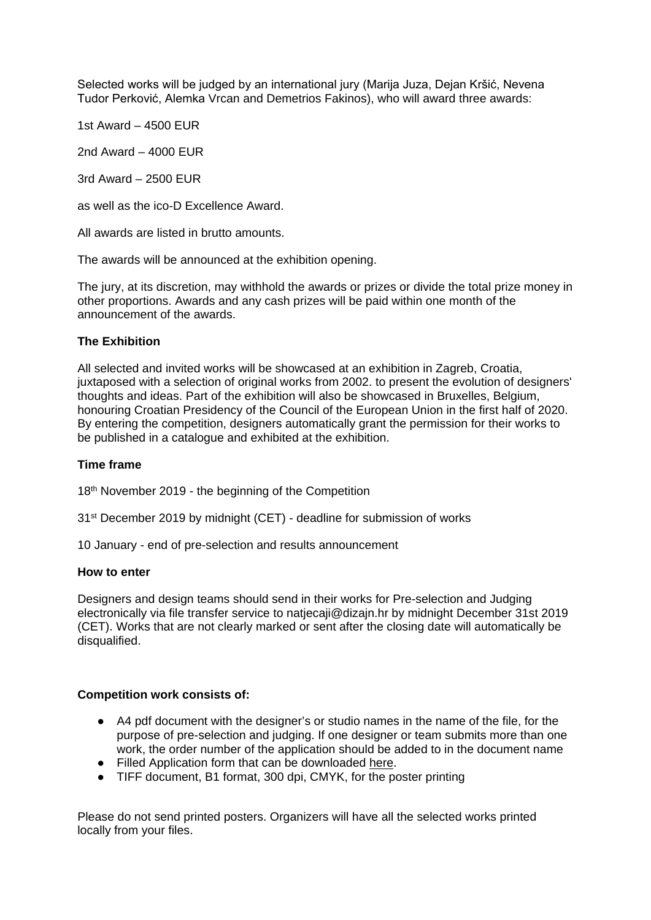Selected works will be judged by an international jury (Marija Juza, Dejan Kršić, Nevena Tudor Perković, Alemka Vrcan and Demetrios Fakinos), who will award three awards:

1st Award – 4500 EUR

2nd Award – 4000 EUR

3rd Award – 2500 EUR

as well as the ico-D Excellence Award.

All awards are listed in brutto amounts.

The awards will be announced at the exhibition opening.

The jury, at its discretion, may withhold the awards or prizes or divide the total prize money in other proportions. Awards and any cash prizes will be paid within one month of the announcement of the awards.

### **The Exhibition**

All selected and invited works will be showcased at an exhibition in Zagreb, Croatia, juxtaposed with a selection of original works from 2002. to present the evolution of designers' thoughts and ideas. Part of the exhibition will also be showcased in Bruxelles, Belgium, honouring Croatian Presidency of the Council of the European Union in the first half of 2020. By entering the competition, designers automatically grant the permission for their works to be published in a catalogue and exhibited at the exhibition.

#### **Time frame**

18<sup>th</sup> November 2019 - the beginning of the Competition

31st December 2019 by midnight (CET) - deadline for submission of works

10 January - end of pre-selection and results announcement

#### **How to enter**

Designers and design teams should send in their works for Pre-selection and Judging electronically via file transfer service to natjecaji@dizajn.hr by midnight December 31st 2019 (CET). Works that are not clearly marked or sent after the closing date will automatically be disqualified.

#### **Competition work consists of:**

- A4 pdf document with the designer's or studio names in the name of the file, for the purpose of pre-selection and judging. If one designer or team submits more than one work, the order number of the application should be added to in the document name
- Filled Application form that can be downloaded [here.](https://www.dropbox.com/s/jyvtga7ppp8cuxe/Application%20Form_Prijavnica_Europa%202020.docx?dl=0)
- TIFF document, B1 format, 300 dpi, CMYK, for the poster printing

Please do not send printed posters. Organizers will have all the selected works printed locally from your files.